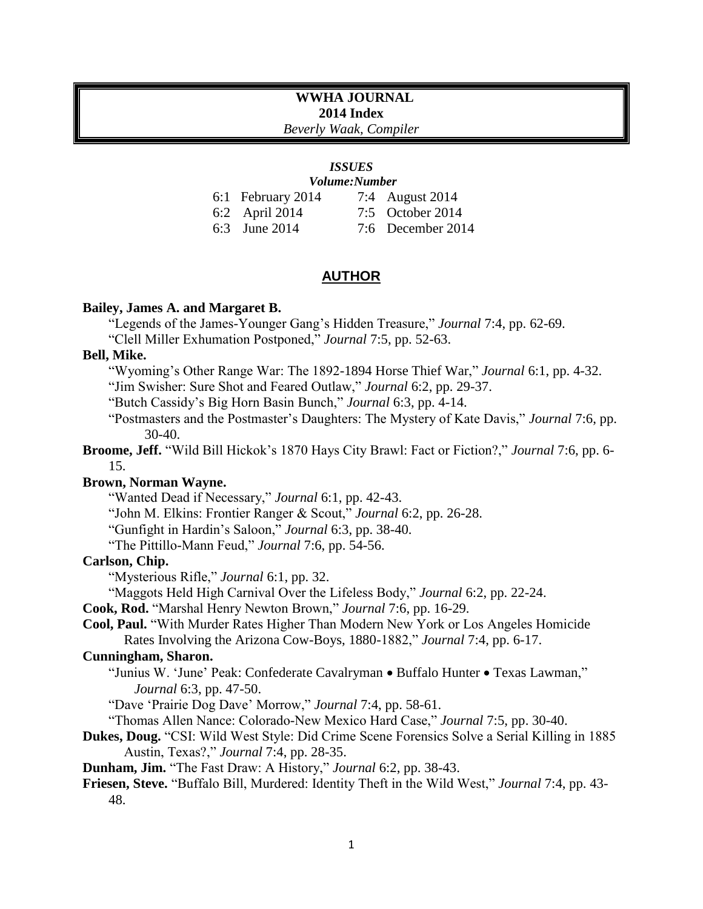# **WWHA JOURNAL 2014 Index**

*Beverly Waak, Compiler*

# *ISSUES*

| 6:1 February 2014 | 7:4 August 2014   |
|-------------------|-------------------|
| $6:2$ April 2014  | 7:5 October 2014  |
| 6:3 June 2014     | 7:6 December 2014 |

## **AUTHOR**

#### **Bailey, James A. and Margaret B.**

"Legends of the James-Younger Gang's Hidden Treasure," *Journal* 7:4, pp. 62-69.

"Clell Miller Exhumation Postponed," *Journal* 7:5, pp. 52-63.

# **Bell, Mike.**

- "Wyoming's Other Range War: The 1892-1894 Horse Thief War," *Journal* 6:1, pp. 4-32.
- "Jim Swisher: Sure Shot and Feared Outlaw," *Journal* 6:2, pp. 29-37.

"Butch Cassidy's Big Horn Basin Bunch," *Journal* 6:3, pp. 4-14.

"Postmasters and the Postmaster's Daughters: The Mystery of Kate Davis," *Journal* 7:6, pp. 30-40.

**Broome, Jeff.** "Wild Bill Hickok's 1870 Hays City Brawl: Fact or Fiction?," *Journal* 7:6, pp. 6- 15.

## **Brown, Norman Wayne.**

"Wanted Dead if Necessary," *Journal* 6:1, pp. 42-43.

"John M. Elkins: Frontier Ranger & Scout," *Journal* 6:2, pp. 26-28.

"Gunfight in Hardin's Saloon," *Journal* 6:3, pp. 38-40.

"The Pittillo-Mann Feud," *Journal* 7:6, pp. 54-56.

## **Carlson, Chip.**

"Mysterious Rifle," *Journal* 6:1, pp. 32.

"Maggots Held High Carnival Over the Lifeless Body," *Journal* 6:2, pp. 22-24.

**Cook, Rod.** "Marshal Henry Newton Brown," *Journal* 7:6, pp. 16-29.

**Cool, Paul.** "With Murder Rates Higher Than Modern New York or Los Angeles Homicide Rates Involving the Arizona Cow-Boys, 1880-1882," *Journal* 7:4, pp. 6-17.

## **Cunningham, Sharon.**

"Junius W. 'June' Peak: Confederate Cavalryman . Buffalo Hunter . Texas Lawman," *Journal* 6:3, pp. 47-50.

"Dave 'Prairie Dog Dave' Morrow," *Journal* 7:4, pp. 58-61.

"Thomas Allen Nance: Colorado-New Mexico Hard Case," *Journal* 7:5, pp. 30-40.

**Dukes, Doug.** "CSI: Wild West Style: Did Crime Scene Forensics Solve a Serial Killing in 1885 Austin, Texas?," *Journal* 7:4, pp. 28-35.

**Dunham, Jim.** "The Fast Draw: A History," *Journal* 6:2, pp. 38-43.

**Friesen, Steve.** "Buffalo Bill, Murdered: Identity Theft in the Wild West," *Journal* 7:4, pp. 43- 48.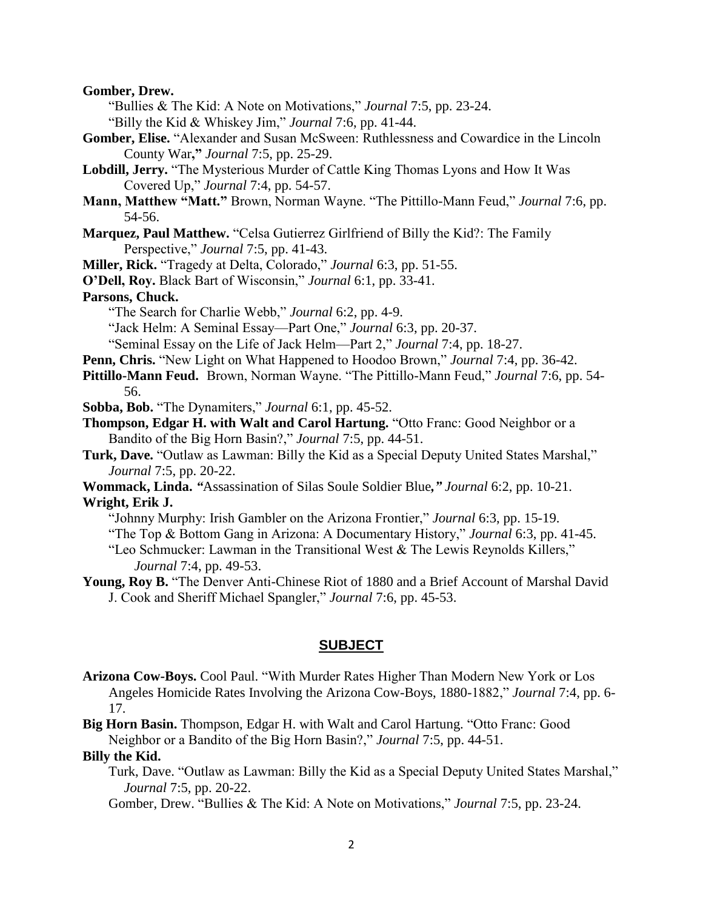**Gomber, Drew.** 

"Bullies & The Kid: A Note on Motivations," *Journal* 7:5, pp. 23-24.

"Billy the Kid & Whiskey Jim," *Journal* 7:6, pp. 41-44.

- **Gomber, Elise.** "Alexander and Susan McSween: Ruthlessness and Cowardice in the Lincoln County War**,"** *Journal* 7:5, pp. 25-29.
- **Lobdill, Jerry.** "The Mysterious Murder of Cattle King Thomas Lyons and How It Was Covered Up," *Journal* 7:4, pp. 54-57.
- **Mann, Matthew "Matt."** Brown, Norman Wayne. "The Pittillo-Mann Feud," *Journal* 7:6, pp. 54-56.
- **Marquez, Paul Matthew.** "Celsa Gutierrez Girlfriend of Billy the Kid?: The Family Perspective," *Journal* 7:5, pp. 41-43.

**Miller, Rick.** "Tragedy at Delta, Colorado," *Journal* 6:3, pp. 51-55.

**O'Dell, Roy.** Black Bart of Wisconsin," *Journal* 6:1, pp. 33-41.

## **Parsons, Chuck.**

- "The Search for Charlie Webb," *Journal* 6:2, pp. 4-9.
- "Jack Helm: A Seminal Essay—Part One," *Journal* 6:3, pp. 20-37.

"Seminal Essay on the Life of Jack Helm—Part 2," *Journal* 7:4, pp. 18-27.

- **Penn, Chris.** "New Light on What Happened to Hoodoo Brown," *Journal* 7:4, pp. 36-42.
- **Pittillo-Mann Feud.** Brown, Norman Wayne. "The Pittillo-Mann Feud," *Journal* 7:6, pp. 54- 56.

**Sobba, Bob.** "The Dynamiters," *Journal* 6:1, pp. 45-52.

- **Thompson, Edgar H. with Walt and Carol Hartung.** "Otto Franc: Good Neighbor or a Bandito of the Big Horn Basin?," *Journal* 7:5, pp. 44-51.
- **Turk, Dave.** "Outlaw as Lawman: Billy the Kid as a Special Deputy United States Marshal," *Journal* 7:5, pp. 20-22.
- **Wommack, Linda.** *"*Assassination of Silas Soule Soldier Blue*," Journal* 6:2, pp. 10-21. **Wright, Erik J.** 
	- "Johnny Murphy: Irish Gambler on the Arizona Frontier," *Journal* 6:3, pp. 15-19.
	- "The Top & Bottom Gang in Arizona: A Documentary History," *Journal* 6:3, pp. 41-45.

"Leo Schmucker: Lawman in the Transitional West & The Lewis Reynolds Killers," *Journal* 7:4, pp. 49-53.

**Young, Roy B.** "The Denver Anti-Chinese Riot of 1880 and a Brief Account of Marshal David J. Cook and Sheriff Michael Spangler," *Journal* 7:6, pp. 45-53.

#### **SUBJECT**

**Arizona Cow-Boys.** Cool Paul. "With Murder Rates Higher Than Modern New York or Los Angeles Homicide Rates Involving the Arizona Cow-Boys, 1880-1882," *Journal* 7:4, pp. 6- 17.

**Big Horn Basin.** Thompson, Edgar H. with Walt and Carol Hartung. "Otto Franc: Good Neighbor or a Bandito of the Big Horn Basin?," *Journal* 7:5, pp. 44-51.

#### **Billy the Kid.**

Turk, Dave. "Outlaw as Lawman: Billy the Kid as a Special Deputy United States Marshal," *Journal* 7:5, pp. 20-22.

Gomber, Drew. "Bullies & The Kid: A Note on Motivations," *Journal* 7:5, pp. 23-24.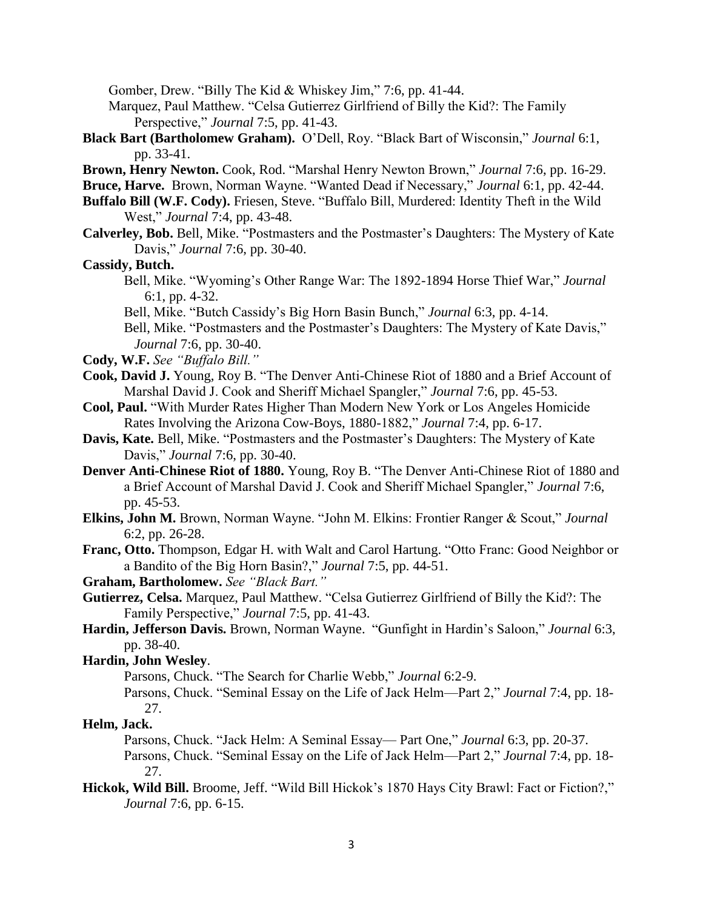Gomber, Drew. "Billy The Kid & Whiskey Jim," 7:6, pp. 41-44.

- Marquez, Paul Matthew. "Celsa Gutierrez Girlfriend of Billy the Kid?: The Family Perspective," *Journal* 7:5, pp. 41-43.
- **Black Bart (Bartholomew Graham).** O'Dell, Roy. "Black Bart of Wisconsin," *Journal* 6:1, pp. 33-41.
- **Brown, Henry Newton.** Cook, Rod. "Marshal Henry Newton Brown," *Journal* 7:6, pp. 16-29.

**Bruce, Harve.** Brown, Norman Wayne. "Wanted Dead if Necessary," *Journal* 6:1, pp. 42-44.

- **Buffalo Bill (W.F. Cody).** Friesen, Steve. "Buffalo Bill, Murdered: Identity Theft in the Wild West," *Journal* 7:4, pp. 43-48.
- **Calverley, Bob.** Bell, Mike. "Postmasters and the Postmaster's Daughters: The Mystery of Kate Davis," *Journal* 7:6, pp. 30-40.

## **Cassidy, Butch.**

Bell, Mike. "Wyoming's Other Range War: The 1892-1894 Horse Thief War," *Journal*  6:1, pp. 4-32.

Bell, Mike. "Butch Cassidy's Big Horn Basin Bunch," *Journal* 6:3, pp. 4-14.

Bell, Mike. "Postmasters and the Postmaster's Daughters: The Mystery of Kate Davis," *Journal* 7:6, pp. 30-40.

- **Cody, W.F.** *See "Buffalo Bill."*
- **Cook, David J.** Young, Roy B. "The Denver Anti-Chinese Riot of 1880 and a Brief Account of Marshal David J. Cook and Sheriff Michael Spangler," *Journal* 7:6, pp. 45-53.
- **Cool, Paul.** "With Murder Rates Higher Than Modern New York or Los Angeles Homicide Rates Involving the Arizona Cow-Boys, 1880-1882," *Journal* 7:4, pp. 6-17.
- **Davis, Kate.** Bell, Mike. "Postmasters and the Postmaster's Daughters: The Mystery of Kate Davis," *Journal* 7:6, pp. 30-40.
- **Denver Anti-Chinese Riot of 1880.** Young, Roy B. "The Denver Anti-Chinese Riot of 1880 and a Brief Account of Marshal David J. Cook and Sheriff Michael Spangler," *Journal* 7:6, pp. 45-53.
- **Elkins, John M.** Brown, Norman Wayne. "John M. Elkins: Frontier Ranger & Scout," *Journal*  6:2, pp. 26-28.
- **Franc, Otto.** Thompson, Edgar H. with Walt and Carol Hartung. "Otto Franc: Good Neighbor or a Bandito of the Big Horn Basin?," *Journal* 7:5, pp. 44-51.

**Graham, Bartholomew.** *See "Black Bart."*

- **Gutierrez, Celsa.** Marquez, Paul Matthew. "Celsa Gutierrez Girlfriend of Billy the Kid?: The Family Perspective," *Journal* 7:5, pp. 41-43.
- **Hardin, Jefferson Davis.** Brown, Norman Wayne. "Gunfight in Hardin's Saloon," *Journal* 6:3, pp. 38-40.

**Hardin, John Wesley**.

Parsons, Chuck. "The Search for Charlie Webb," *Journal* 6:2-9.

Parsons, Chuck. "Seminal Essay on the Life of Jack Helm—Part 2," *Journal* 7:4, pp. 18- 27.

#### **Helm, Jack.**

Parsons, Chuck. "Jack Helm: A Seminal Essay— Part One," *Journal* 6:3, pp. 20-37.

- Parsons, Chuck. "Seminal Essay on the Life of Jack Helm—Part 2," *Journal* 7:4, pp. 18- 27.
- **Hickok, Wild Bill.** Broome, Jeff. "Wild Bill Hickok's 1870 Hays City Brawl: Fact or Fiction?," *Journal* 7:6, pp. 6-15.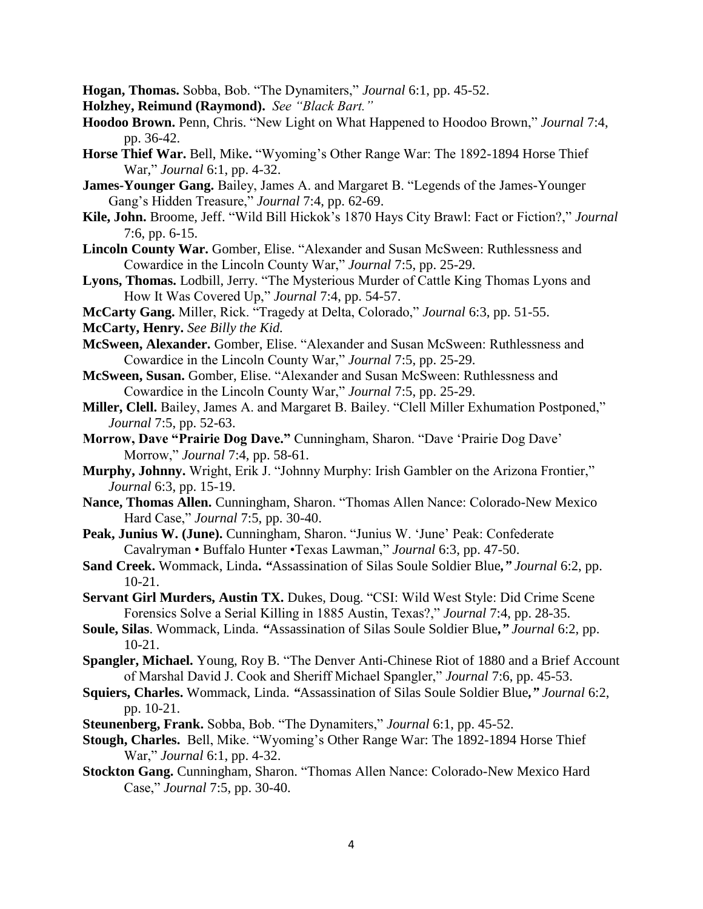**Hogan, Thomas.** Sobba, Bob. "The Dynamiters," *Journal* 6:1, pp. 45-52.

**Holzhey, Reimund (Raymond).** *See "Black Bart."*

- **Hoodoo Brown.** Penn, Chris. "New Light on What Happened to Hoodoo Brown," *Journal* 7:4, pp. 36-42.
- **Horse Thief War.** Bell, Mike**.** "Wyoming's Other Range War: The 1892-1894 Horse Thief War," *Journal* 6:1, pp. 4-32.
- **James-Younger Gang.** Bailey, James A. and Margaret B. "Legends of the James-Younger Gang's Hidden Treasure," *Journal* 7:4, pp. 62-69.
- **Kile, John.** Broome, Jeff. "Wild Bill Hickok's 1870 Hays City Brawl: Fact or Fiction?," *Journal*  7:6, pp. 6-15.
- **Lincoln County War.** Gomber, Elise. "Alexander and Susan McSween: Ruthlessness and Cowardice in the Lincoln County War," *Journal* 7:5, pp. 25-29.
- **Lyons, Thomas.** Lodbill, Jerry. "The Mysterious Murder of Cattle King Thomas Lyons and How It Was Covered Up," *Journal* 7:4, pp. 54-57.
- **McCarty Gang.** Miller, Rick. "Tragedy at Delta, Colorado," *Journal* 6:3, pp. 51-55.

**McCarty, Henry.** *See Billy the Kid.*

- **McSween, Alexander.** Gomber, Elise. "Alexander and Susan McSween: Ruthlessness and Cowardice in the Lincoln County War," *Journal* 7:5, pp. 25-29.
- **McSween, Susan.** Gomber, Elise. "Alexander and Susan McSween: Ruthlessness and Cowardice in the Lincoln County War," *Journal* 7:5, pp. 25-29.
- **Miller, Clell.** Bailey, James A. and Margaret B. Bailey. "Clell Miller Exhumation Postponed," *Journal* 7:5, pp. 52-63.
- **Morrow, Dave "Prairie Dog Dave."** Cunningham, Sharon. "Dave 'Prairie Dog Dave' Morrow," *Journal* 7:4, pp. 58-61.
- **Murphy, Johnny.** Wright, Erik J. "Johnny Murphy: Irish Gambler on the Arizona Frontier," *Journal* 6:3, pp. 15-19.
- **Nance, Thomas Allen.** Cunningham, Sharon. "Thomas Allen Nance: Colorado-New Mexico Hard Case," *Journal* 7:5, pp. 30-40.
- **Peak, Junius W. (June).** Cunningham, Sharon. "Junius W. 'June' Peak: Confederate Cavalryman • Buffalo Hunter •Texas Lawman," *Journal* 6:3, pp. 47-50.
- **Sand Creek.** Wommack, Linda**.** *"*Assassination of Silas Soule Soldier Blue*," Journal* 6:2, pp. 10-21.
- **Servant Girl Murders, Austin TX.** Dukes, Doug. "CSI: Wild West Style: Did Crime Scene Forensics Solve a Serial Killing in 1885 Austin, Texas?," *Journal* 7:4, pp. 28-35.
- **Soule, Silas**. Wommack, Linda. *"*Assassination of Silas Soule Soldier Blue*," Journal* 6:2, pp. 10-21.
- **Spangler, Michael.** Young, Roy B. "The Denver Anti-Chinese Riot of 1880 and a Brief Account of Marshal David J. Cook and Sheriff Michael Spangler," *Journal* 7:6, pp. 45-53.
- **Squiers, Charles.** Wommack, Linda. *"*Assassination of Silas Soule Soldier Blue*," Journal* 6:2, pp. 10-21.
- **Steunenberg, Frank.** Sobba, Bob. "The Dynamiters," *Journal* 6:1, pp. 45-52.
- **Stough, Charles.** Bell, Mike. "Wyoming's Other Range War: The 1892-1894 Horse Thief War," *Journal* 6:1, pp. 4-32.
- **Stockton Gang.** Cunningham, Sharon. "Thomas Allen Nance: Colorado-New Mexico Hard Case," *Journal* 7:5, pp. 30-40.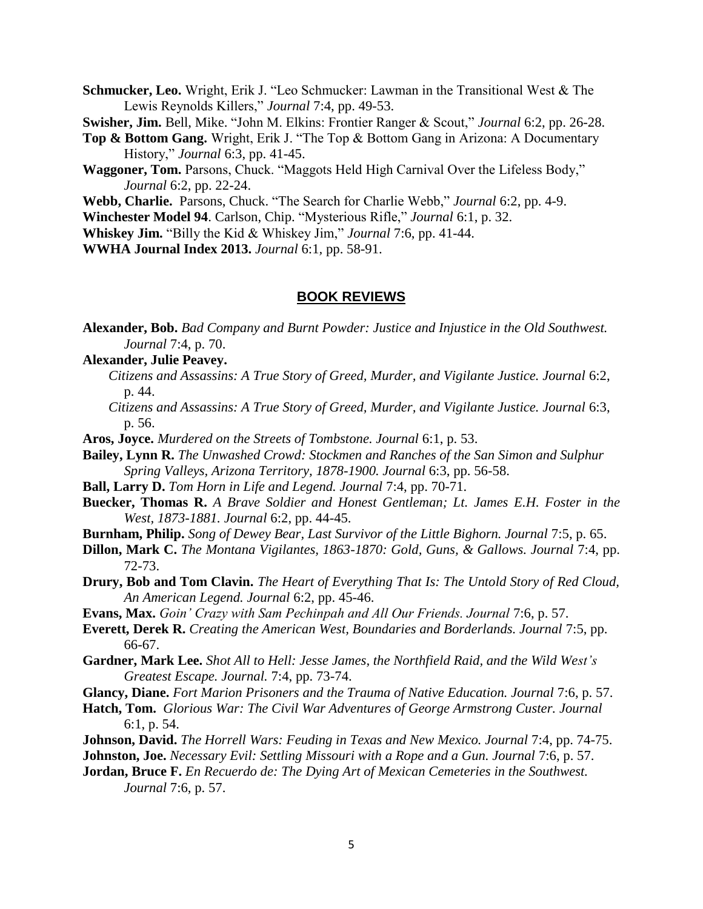**Schmucker, Leo.** Wright, Erik J. "Leo Schmucker: Lawman in the Transitional West & The Lewis Reynolds Killers," *Journal* 7:4, pp. 49-53.

**Swisher, Jim.** Bell, Mike. "John M. Elkins: Frontier Ranger & Scout," *Journal* 6:2, pp. 26-28.

- **Top & Bottom Gang.** Wright, Erik J. "The Top & Bottom Gang in Arizona: A Documentary History," *Journal* 6:3, pp. 41-45.
- **Waggoner, Tom.** Parsons, Chuck. "Maggots Held High Carnival Over the Lifeless Body," *Journal* 6:2, pp. 22-24.

**Webb, Charlie.** Parsons, Chuck. "The Search for Charlie Webb," *Journal* 6:2, pp. 4-9.

**Winchester Model 94**. Carlson, Chip. "Mysterious Rifle," *Journal* 6:1, p. 32.

**Whiskey Jim.** "Billy the Kid & Whiskey Jim," *Journal* 7:6, pp. 41-44.

**WWHA Journal Index 2013.** *Journal* 6:1*,* pp. 58-91.

#### **BOOK REVIEWS**

**Alexander, Bob.** *Bad Company and Burnt Powder: Justice and Injustice in the Old Southwest. Journal* 7:4, p. 70.

### **Alexander, Julie Peavey.**

- *Citizens and Assassins: A True Story of Greed, Murder, and Vigilante Justice. Journal* 6:2, p. 44.
- *Citizens and Assassins: A True Story of Greed, Murder, and Vigilante Justice. Journal* 6:3, p. 56.
- **Aros, Joyce.** *Murdered on the Streets of Tombstone. Journal* 6:1, p. 53.

**Bailey, Lynn R.** *The Unwashed Crowd: Stockmen and Ranches of the San Simon and Sulphur Spring Valleys, Arizona Territory, 1878-1900. Journal* 6:3, pp. 56-58.

- **Ball, Larry D.** *Tom Horn in Life and Legend. Journal* 7:4, pp. 70-71.
- **Buecker, Thomas R.** *A Brave Soldier and Honest Gentleman; Lt. James E.H. Foster in the West, 1873-1881. Journal* 6:2, pp. 44-45.
- **Burnham, Philip.** *Song of Dewey Bear, Last Survivor of the Little Bighorn. Journal* 7:5, p. 65.
- **Dillon, Mark C.** *The Montana Vigilantes, 1863-1870: Gold, Guns, & Gallows. Journal 7:4, pp.* 72-73.
- **Drury, Bob and Tom Clavin.** *The Heart of Everything That Is: The Untold Story of Red Cloud, An American Legend. Journal* 6:2, pp. 45-46.

**Evans, Max.** *Goin' Crazy with Sam Pechinpah and All Our Friends. Journal* 7:6, p. 57.

- **Everett, Derek R.** *Creating the American West, Boundaries and Borderlands. Journal* 7:5, pp. 66-67.
- **Gardner, Mark Lee.** *Shot All to Hell: Jesse James, the Northfield Raid, and the Wild West's Greatest Escape. Journal.* 7:4, pp. 73-74.
- **Glancy, Diane.** *Fort Marion Prisoners and the Trauma of Native Education. Journal* 7:6, p. 57.
- **Hatch, Tom.** *Glorious War: The Civil War Adventures of George Armstrong Custer. Journal*  6:1, p. 54.
- **Johnson, David.** *The Horrell Wars: Feuding in Texas and New Mexico. Journal* 7:4, pp. 74-75.

**Johnston, Joe.** *Necessary Evil: Settling Missouri with a Rope and a Gun. Journal* 7:6, p. 57.

**Jordan, Bruce F.** *En Recuerdo de: The Dying Art of Mexican Cemeteries in the Southwest. Journal* 7:6, p. 57.